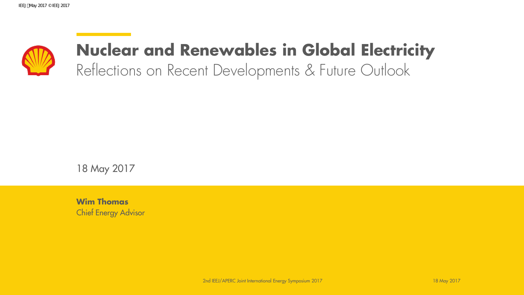

# **Nuclear and Renewables in Global Electricity** Reflections on Recent Developments & Future Outlook

18 May 2017

**Wim Thomas** Chief Energy Advisor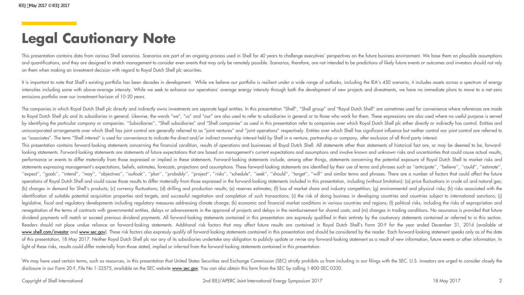#### **Legal Cautionary Note**

This presentation contains data from various Shell scenarios. Scenarios are part of an ongoing process used in Shell for 40 years to challenge executives' perspectives on the future business environment. We base them on pl and quantifications, and they are designed to stretch management to consider even events that may only be remotely possible. Scenarios, therefore, are not intended to be predictions of likely future events or outcomes and on them when making an investment decision with regard to Royal Dutch Shell plc securities.

It is important to note that Shell's existing portfolio has been decades in development. While we believe our portfolio is resilient under a wide range of outlooks, including the IEA's 450 scenario, it includes assets acro intensities including some with above-average intensity. While we seek to enhance our operations' average energy intensity through both the development of new projects and divestments, we have no immediate plans to move to emissions portfolio over our investment horizon of 10-20 years.

The companies in which Royal Dutch Shell plc directly and indirectly owns investments are separate legal entities. In this presentation "Shell", "Shell group" and "Royal Dutch Shell" are sometimes used for convenience wher to Royal Dutch Shell plc and its subsidiaries in general. Likewise, the words "we", "us" and "our" are also used to refer to subsidiaries in general or to those who work for them. These expressions are also used where no u by identifying the particular company or companies. "Subsidiaries", "Shell subsidiaries" and "Shell companies" as used in this presentation refer to companies over which Royal Dutch Shell plc either directly or indirectly unincorporated arrangements over which Shell has joint control are generally referred to as "joint ventures" and "joint operations" respectively. Entities over which Shell has significant influence but neither control nor as "associates". The term "Shell interest" is used for convenience to indicate the direct and/or indirect ownership interest held by Shell in a venture, partnership or company, after exclusion of all third-party interest.

This presentation contains forward-looking statements concerning the financial condition, results of operations and businesses of Royal Dutch Shell. All statements other than statements of historical fact are, or may be de looking statements. Forward-looking statements are statements of future expectations that are based on management's current expectations and assumptions and involve known and unknown risks and uncertainties that could caus performance or events to differ materially from those expressed or implied in these statements. Forward-looking statements include, among other things, statements concerning the potential exposure of Royal Dutch Shell to m statements expressing management's expectations, beliefs, estimates, forecasts, projections and assumptions. These forward-looking statements are identified by their use of terms and phrases such as "anticipate", "believe" "expect", "goals", "intend", "may", "objectives", "outlook", "plan", "probably", "project", "risks", "schedule", "seek", "should", "target", "will" and similar terms and phrases. There are a number of factors that could af operations of Royal Dutch Shell and could cause those results to differ materially from those expressed in the forward-looking statements included in this presentation, including (without limitation): (a) price fluctuation (b) changes in demand for Shell's products; (c) currency fluctuations; (d) drilling and production results; (e) reserves estimates; (f) loss of market share and industry competition; (g) environmental and physical risks; ( identification of suitable potential acquisition properties and targets, and successful negotiation and completion of such transactions; (i) the risk of doing business in developing countries and countries subject to inter legislative, fiscal and regulatory developments including regulatory measures addressing climate change; (k) economic and financial market conditions in various countries and regions; (I) political risks, including the ris renegotiation of the terms of contracts with governmental entities, delays or advancements in the approval of projects and delays in the reimbursement for shared costs; and (m) changes in trading conditions. No assurance i dividend payments will match or exceed previous dividend payments. All forward-looking statements contained in this presentation are expressly qualified in their entirety by the cautionary statements contained or referred Readers should not place undue reliance on forward-looking statements. Additional risk factors that may affect future results are contained in Royal Dutch Shell's Form 20-F for the year ended December 31, 2016 (available a [www.shell.com/investor](http://www.shell.com/investors.html) and [www.sec.gov\)](http://www.shell.com/media/news-and-media-releases/2017/royal-dutch-shell-plc-fourth-quarter-2016-euro-and-gbp-equivalent/_jcr_content/par/textimage_9b11.disclaimer.html/aHR0cDovL3d3dy5zZWMuZ292/go.html). These risk factors also expressly qualify all forward-looking statements contained in this presentation and should be considered by the reader. Each forward-looking statement speaks of this presentation, 18 May 2017. Neither Royal Dutch Shell plc nor any of its subsidiaries undertake any obligation to publicly update or revise any forward-looking statement as a result of new information, future events light of these risks, results could differ materially from those stated, implied or inferred from the forward-looking statements contained in this presentation.

We may have used certain terms, such as resources, in this presentation that United States Securities and Exchange Commission (SEC) strictly prohibits us from including in our filings with the SEC. U.S. investors are urged disclosure in our Form 20-F, File No 1-32575, available on the SEC website [www.sec.gov.](http://www.shell.com/media/news-and-media-releases/2017/royal-dutch-shell-plc-fourth-quarter-2016-euro-and-gbp-equivalent/_jcr_content/par/textimage_9b11.disclaimer.html/aHR0cDovL3d3dy5zZWMuZ292/go.html) You can also obtain this form from the SEC by calling 1-800-SEC-0330.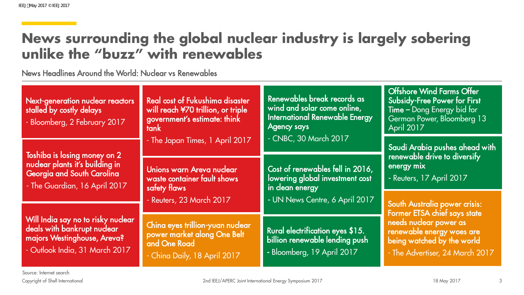#### **News surrounding the global nuclear industry is largely sobering unlike the "buzz" with renewables**

News Headlines Around the World: Nuclear vs Renewables

| Next-generation nuclear reactors<br>stalled by costly delays<br>- Bloomberg, 2 February 2017                                                                                                                                                | <b>Real cost of Fukushima disaster</b><br>will reach ¥70 trillion, or triple<br>government's estimate: think<br>tank<br>- The Japan Times, 1 April 2017 | Renewables break records as<br>wind and solar come online,<br><b>International Renewable Energy</b><br><b>Agency says</b><br>- CNBC, 30 March 2017 | <b>Offshore Wind Farms Offer</b><br><b>Subsidy-Free Power for First</b><br>Time - Dong Energy bid for<br><b>German Power, Bloomberg 13</b><br>April 2017 |
|---------------------------------------------------------------------------------------------------------------------------------------------------------------------------------------------------------------------------------------------|---------------------------------------------------------------------------------------------------------------------------------------------------------|----------------------------------------------------------------------------------------------------------------------------------------------------|----------------------------------------------------------------------------------------------------------------------------------------------------------|
| Toshiba is losing money on 2                                                                                                                                                                                                                |                                                                                                                                                         |                                                                                                                                                    | Saudi Arabia pushes ahead with                                                                                                                           |
| nuclear plants it's building in<br><b>Georgia and South Carolina</b><br>- The Guardian, 16 April 2017<br>Will India say no to risky nuclear<br>deals with bankrupt nuclear<br>majors Westinghouse, Areva?<br>- Outlook India, 31 March 2017 | Unions warn Areva nuclear<br>waste container fault shows<br>safety flaws<br>- Reuters, 23 March 2017                                                    | Cost of renewables fell in 2016,<br>lowering global investment cost<br>in clean energy<br>- UN News Centre, 6 April 2017                           | renewable drive to diversify<br>energy mix<br>- Reuters, 17 April 2017                                                                                   |
|                                                                                                                                                                                                                                             |                                                                                                                                                         |                                                                                                                                                    | South Australia power crisis:<br>Former ETSA chief says state                                                                                            |
|                                                                                                                                                                                                                                             | China eyes trillion-yuan nuclear<br>power market along One Belt<br>and One Road<br>- China Daily, 18 April 2017                                         | Rural electrification eyes \$15.<br>billion renewable lending push<br>- Bloomberg, 19 April 2017                                                   | needs nuclear power as<br>renewable energy woes are<br>being watched by the world<br>- The Advertiser, 24 March 2017                                     |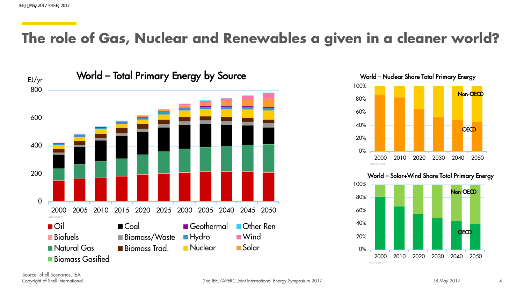#### **The role of Gas, Nuclear and Renewables a given in a cleaner world?**



#### World – Nuclear Share Total Primary Energy



World – Solar+Wind Share Total Primary Energy



Source: Shell Scenarios, IEA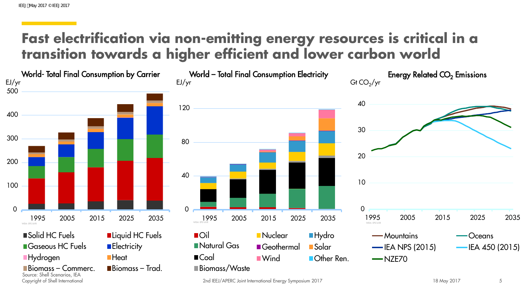Copyright of Shell International

## **Fast electrification via non-emitting energy resources is critical in a transition towards a higher efficient and lower carbon world**

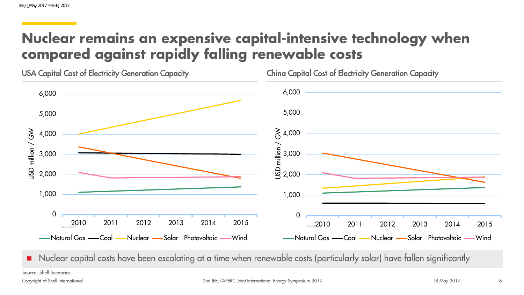#### **Nuclear remains an expensive capital-intensive technology when compared against rapidly falling renewable costs**

USA Capital Cost of Electricity Generation Capacity





■ Nuclear capital costs have been escalating at a time when renewable costs (particularly solar) have fallen significantly

Source: Shell Scenarios

Copyright of Shell International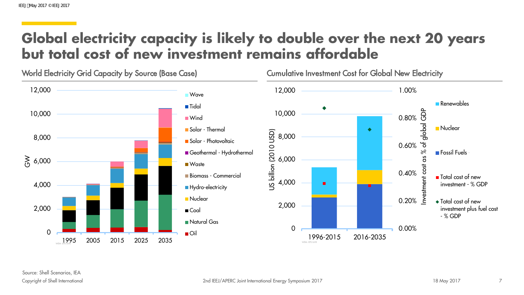#### **Global electricity capacity is likely to double over the next 20 years but total cost of new investment remains affordable**



Copyright of Shell International Source: Shell Scenarios, IEA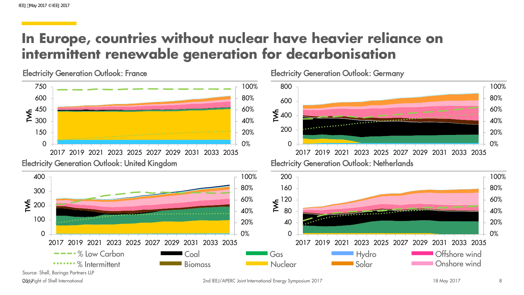## **In Europe, countries without nuclear have heavier reliance on intermittent renewable generation for decarbonisation**

Electricity Generation Outlook: France



% Intermittent

Source: Shell, Baringa Partners LLP

2007ight of Shell International

Electricity Generation Outlook: Germany





Biomass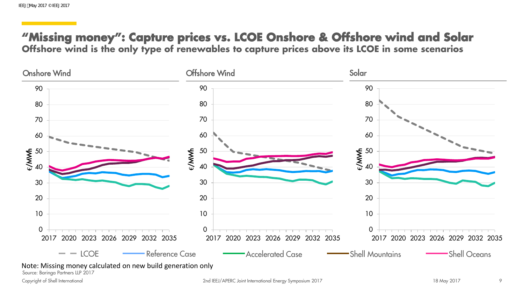#### **"Missing money": Capture prices vs. LCOE Onshore & Offshore wind and Solar Offshore wind is the only type of renewables to capture prices above its LCOE in some scenarios**



Note: Missing money calculated on new build generation only Source: Baringa Partners LLP 2017

Copyright of Shell International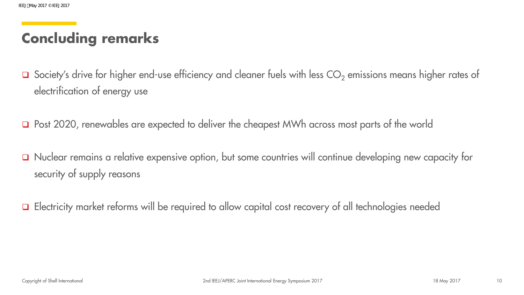#### **Concluding remarks**

- $\Box$  Society's drive for higher end-use efficiency and cleaner fuels with less CO $_2$  emissions means higher rates of electrification of energy use
- □ Post 2020, renewables are expected to deliver the cheapest MWh across most parts of the world
- Nuclear remains a relative expensive option, but some countries will continue developing new capacity for security of supply reasons
- □ Electricity market reforms will be required to allow capital cost recovery of all technologies needed